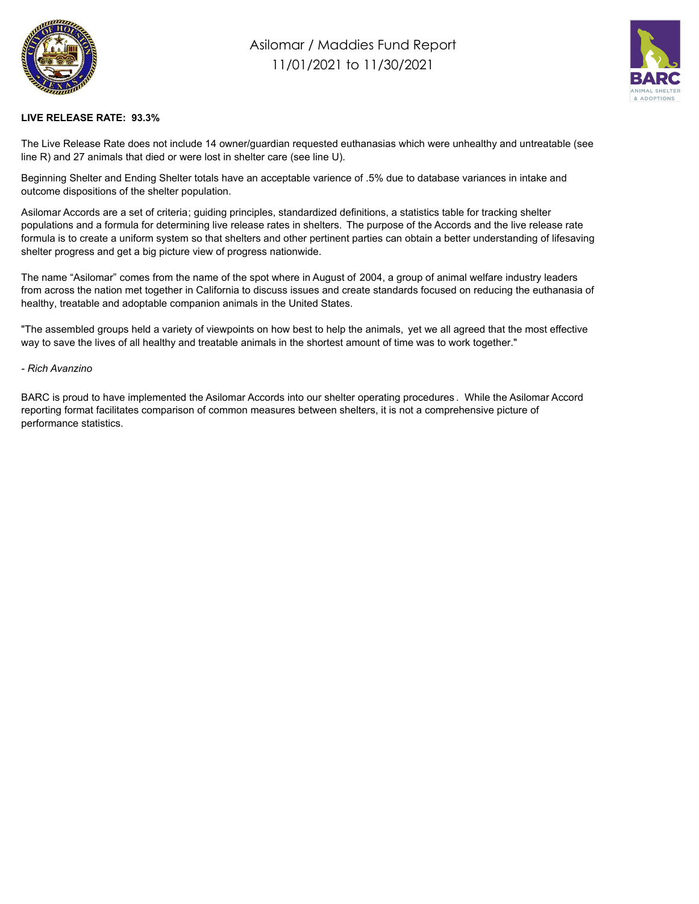

## Asilomar / Maddies Fund Report 11/01/2021 to 11/30/2021



## **LIVE RELEASE RATE: 93.3%**

The Live Release Rate does not include 14 owner/guardian requested euthanasias which were unhealthy and untreatable (see line R) and 27 animals that died or were lost in shelter care (see line U).

Beginning Shelter and Ending Shelter totals have an acceptable varience of .5% due to database variances in intake and outcome dispositions of the shelter population.

Asilomar Accords are a set of criteria; guiding principles, standardized definitions, a statistics table for tracking shelter populations and a formula for determining live release rates in shelters. The purpose of the Accords and the live release rate formula is to create a uniform system so that shelters and other pertinent parties can obtain a better understanding of lifesaving shelter progress and get a big picture view of progress nationwide.

The name "Asilomar" comes from the name of the spot where in August of 2004, a group of animal welfare industry leaders from across the nation met together in California to discuss issues and create standards focused on reducing the euthanasia of healthy, treatable and adoptable companion animals in the United States.

"The assembled groups held a variety of viewpoints on how best to help the animals, yet we all agreed that the most effective way to save the lives of all healthy and treatable animals in the shortest amount of time was to work together."

## *- Rich Avanzino*

BARC is proud to have implemented the Asilomar Accords into our shelter operating procedures . While the Asilomar Accord reporting format facilitates comparison of common measures between shelters, it is not a comprehensive picture of performance statistics.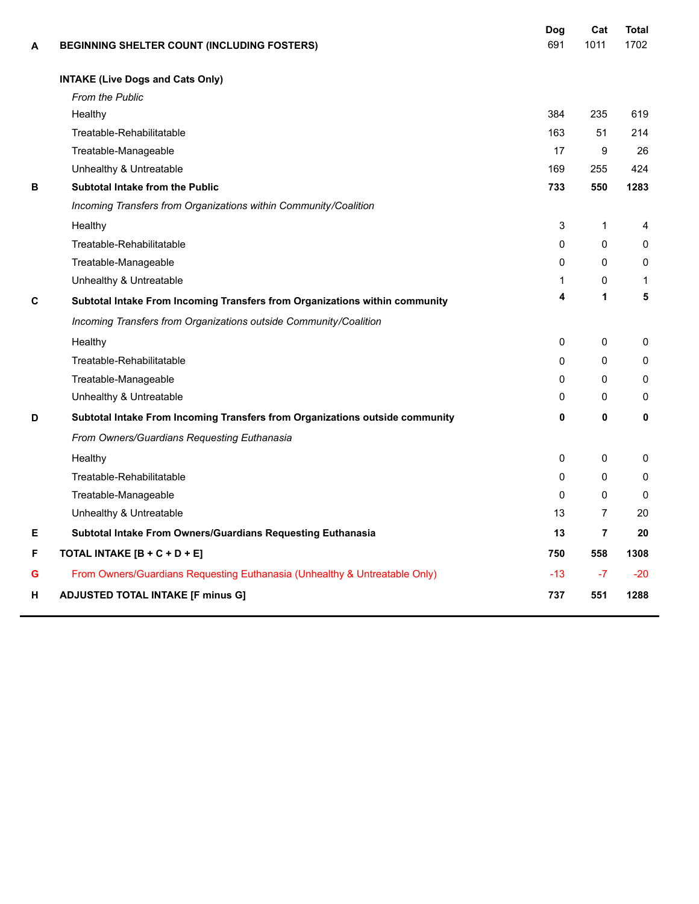| A | BEGINNING SHELTER COUNT (INCLUDING FOSTERS)                                  | Dog<br>691   | Cat<br>1011    | <b>Total</b><br>1702 |
|---|------------------------------------------------------------------------------|--------------|----------------|----------------------|
|   | <b>INTAKE (Live Dogs and Cats Only)</b>                                      |              |                |                      |
|   | From the Public                                                              |              |                |                      |
|   | Healthy                                                                      | 384          | 235            | 619                  |
|   | Treatable-Rehabilitatable                                                    | 163          | 51             | 214                  |
|   | Treatable-Manageable                                                         | 17           | 9              | 26                   |
|   | Unhealthy & Untreatable                                                      | 169          | 255            | 424                  |
| В | Subtotal Intake from the Public                                              | 733          | 550            | 1283                 |
|   | Incoming Transfers from Organizations within Community/Coalition             |              |                |                      |
|   | Healthy                                                                      | 3            | $\mathbf{1}$   | 4                    |
|   | Treatable-Rehabilitatable                                                    | 0            | $\mathbf 0$    | 0                    |
|   | Treatable-Manageable                                                         | 0            | 0              | $\Omega$             |
|   | Unhealthy & Untreatable                                                      | 1            | 0              | 1                    |
| C | Subtotal Intake From Incoming Transfers from Organizations within community  | 4            | 1              | 5                    |
|   | Incoming Transfers from Organizations outside Community/Coalition            |              |                |                      |
|   | Healthy                                                                      | $\mathbf{0}$ | $\mathbf 0$    | 0                    |
|   | Treatable-Rehabilitatable                                                    | 0            | $\mathbf{0}$   | 0                    |
|   | Treatable-Manageable                                                         | 0            | $\mathbf{0}$   | 0                    |
|   | Unhealthy & Untreatable                                                      | 0            | 0              | 0                    |
| D | Subtotal Intake From Incoming Transfers from Organizations outside community | 0            | 0              | 0                    |
|   | From Owners/Guardians Requesting Euthanasia                                  |              |                |                      |
|   | Healthy                                                                      | 0            | 0              | 0                    |
|   | Treatable-Rehabilitatable                                                    | 0            | 0              | $\Omega$             |
|   | Treatable-Manageable                                                         | 0            | 0              | $\Omega$             |
|   | Unhealthy & Untreatable                                                      | 13           | $\overline{7}$ | 20                   |
| Е | Subtotal Intake From Owners/Guardians Requesting Euthanasia                  | 13           | $\overline{7}$ | 20                   |
| F | TOTAL INTAKE [B + C + D + E]                                                 | 750          | 558            | 1308                 |
| G | From Owners/Guardians Requesting Euthanasia (Unhealthy & Untreatable Only)   | $-13$        | $-7$           | $-20$                |
| н | <b>ADJUSTED TOTAL INTAKE [F minus G]</b>                                     | 737          | 551            | 1288                 |